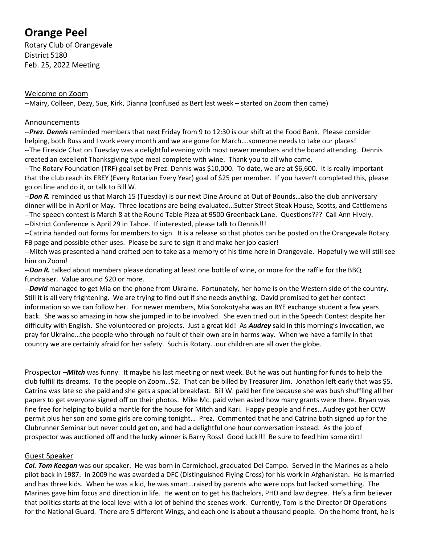# **Orange Peel**

Rotary Club of Orangevale District 5180 Feb. 25, 2022 Meeting

## Welcome on Zoom

--Mairy, Colleen, Dezy, Sue, Kirk, Dianna (confused as Bert last week – started on Zoom then came)

# Announcements

--*Prez. Dennis* reminded members that next Friday from 9 to 12:30 is our shift at the Food Bank. Please consider helping, both Russ and I work every month and we are gone for March….someone needs to take our places! --The Fireside Chat on Tuesday was a delightful evening with most newer members and the board attending. Dennis created an excellent Thanksgiving type meal complete with wine. Thank you to all who came.

--The Rotary Foundation (TRF) goal set by Prez. Dennis was \$10,000. To date, we are at \$6,600. It is really important that the club reach its EREY (Every Rotarian Every Year) goal of \$25 per member. If you haven't completed this, please go on line and do it, or talk to Bill W.

--*Don R.* reminded us that March 15 (Tuesday) is our next Dine Around at Out of Bounds…also the club anniversary dinner will be in April or May. Three locations are being evaluated…Sutter Street Steak House, Scotts, and Cattlemens --The speech contest is March 8 at the Round Table Pizza at 9500 Greenback Lane. Questions??? Call Ann Hively. --District Conference is April 29 in Tahoe. If interested, please talk to Dennis!!!

--Catrina handed out forms for members to sign. It is a release so that photos can be posted on the Orangevale Rotary FB page and possible other uses. Please be sure to sign it and make her job easier!

--Mitch was presented a hand crafted pen to take as a memory of his time here in Orangevale. Hopefully we will still see him on Zoom!

--*Don R.* talked about members please donating at least one bottle of wine, or more for the raffle for the BBQ fundraiser. Value around \$20 or more.

--*David* managed to get Mia on the phone from Ukraine. Fortunately, her home is on the Western side of the country. Still it is all very frightening. We are trying to find out if she needs anything. David promised to get her contact information so we can follow her. For newer members, Mia Sorokotyaha was an RYE exchange student a few years back. She was so amazing in how she jumped in to be involved. She even tried out in the Speech Contest despite her difficulty with English. She volunteered on projects. Just a great kid! As *Audrey* said in this morning's invocation, we pray for Ukraine…the people who through no fault of their own are in harms way. When we have a family in that country we are certainly afraid for her safety. Such is Rotary…our children are all over the globe.

Prospector –*Mitch* was funny. It maybe his last meeting or next week. But he was out hunting for funds to help the club fulfill its dreams. To the people on Zoom…\$2. That can be billed by Treasurer Jim. Jonathon left early that was \$5. Catrina was late so she paid and she gets a special breakfast. Bill W. paid her fine because she was bush shuffling all her papers to get everyone signed off on their photos. Mike Mc. paid when asked how many grants were there. Bryan was fine free for helping to build a mantle for the house for Mitch and Kari. Happy people and fines…Audrey got her CCW permit plus her son and some girls are coming tonight… Prez. Commented that he and Catrina both signed up for the Clubrunner Seminar but never could get on, and had a delightful one hour conversation instead. As the job of prospector was auctioned off and the lucky winner is Barry Ross! Good luck!!! Be sure to feed him some dirt!

# Guest Speaker

*Col. Tom Keegan* was our speaker. He was born in Carmichael, graduated Del Campo. Served in the Marines as a helo pilot back in 1987. In 2009 he was awarded a DFC (Distinguished Flying Cross) for his work in Afghanistan. He is married and has three kids. When he was a kid, he was smart…raised by parents who were cops but lacked something. The Marines gave him focus and direction in life. He went on to get his Bachelors, PHD and law degree. He's a firm believer that politics starts at the local level with a lot of behind the scenes work. Currently, Tom is the Director Of Operations for the National Guard. There are 5 different Wings, and each one is about a thousand people. On the home front, he is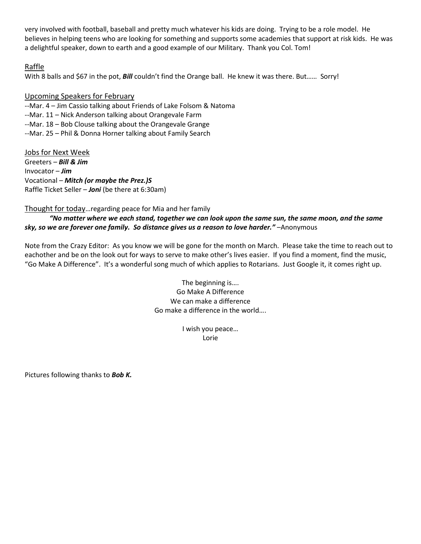very involved with football, baseball and pretty much whatever his kids are doing. Trying to be a role model. He believes in helping teens who are looking for something and supports some academies that support at risk kids. He was a delightful speaker, down to earth and a good example of our Military. Thank you Col. Tom!

## Raffle

With 8 balls and \$67 in the pot, *Bill* couldn't find the Orange ball. He knew it was there. But…… Sorry!

### Upcoming Speakers for February

- --Mar. 4 Jim Cassio talking about Friends of Lake Folsom & Natoma
- --Mar. 11 Nick Anderson talking about Orangevale Farm
- --Mar. 18 Bob Clouse talking about the Orangevale Grange
- --Mar. 25 Phil & Donna Horner talking about Family Search

Jobs for Next Week Greeters – *Bill & Jim* Invocator – *Jim* Vocational – *Mitch (or maybe the Prez.)S* Raffle Ticket Seller – *Joni* (be there at 6:30am)

Thought for today…regarding peace for Mia and her family

### *"No matter where we each stand, together we can look upon the same sun, the same moon, and the same sky, so we are forever one family. So distance gives us a reason to love harder."* –Anonymous

Note from the Crazy Editor: As you know we will be gone for the month on March. Please take the time to reach out to eachother and be on the look out for ways to serve to make other's lives easier. If you find a moment, find the music, "Go Make A Difference". It's a wonderful song much of which applies to Rotarians. Just Google it, it comes right up.

> The beginning is…. Go Make A Difference We can make a difference Go make a difference in the world….

> > I wish you peace… Lorie

Pictures following thanks to *Bob K.*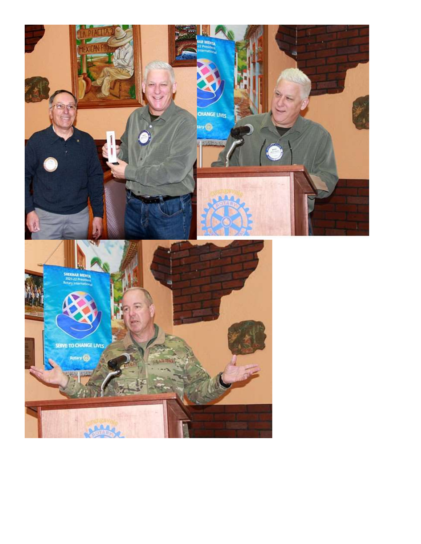